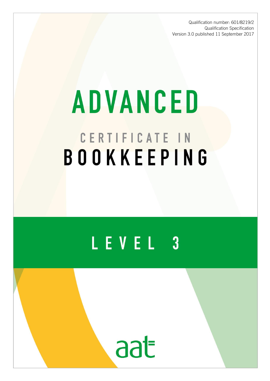Qualification number: 601/8219/2 Qualification number: 601/8219/2 Qualification Specification Qualification Specification Version 3.0 published 11 September 2017

# **ADVANCED** CERTIFICATE IN BOOKKEEPING

## LEVEL 3

 $U$  dates to this specification  $\mathcal{A}$  and  $\mathcal{A}$  are specification 3.3 and 3.4 and 3.4 and 3.4 and 3.4 and 3.4 and 3.4 and 3.4 and 3.4 and 3.4 and 3.4 and 3.4 and 3.4 and 3.4 and 3.4 and 3.4 and 3.4 and 3.4 and 3.4 a

aat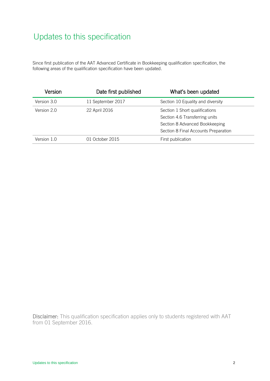### <span id="page-1-0"></span>Updates to this specification

Since first publication of the AAT Advanced Certificate in Bookkeeping qualification specification, the following areas of the qualification specification have been updated.

| Version     | Date first published | What's been updated                  |
|-------------|----------------------|--------------------------------------|
| Version 3.0 | 11 September 2017    | Section 10 Equality and diversity    |
| Version 2.0 | 22 April 2016        | Section 1 Short qualifications       |
|             |                      | Section 4.6 Transferring units       |
|             |                      | Section 8 Advanced Bookkeeping       |
|             |                      | Section 8 Final Accounts Preparation |
| Version 1.0 | 01 October 2015      | First publication                    |

Disclaimer: This qualification specification applies only to students registered with AAT from 01 September 2016.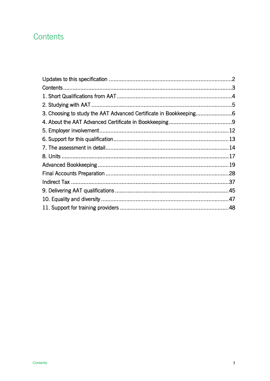### <span id="page-2-0"></span>Contents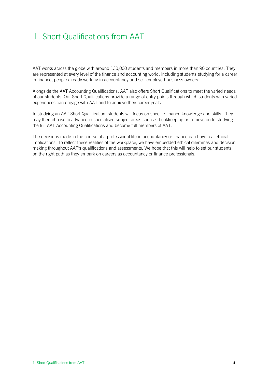### <span id="page-3-0"></span>1. Short Qualifications from AAT

AAT works across the globe with around 130,000 students and members in more than 90 countries. They are represented at every level of the finance and accounting world, including students studying for a career in finance, people already working in accountancy and self-employed business owners.

Alongside the AAT Accounting Qualifications, AAT also offers Short Qualifications to meet the varied needs of our students. Our Short Qualifications provide a range of entry points through which students with varied experiences can engage with AAT and to achieve their career goals.

In studying an AAT Short Qualification, students will focus on specific finance knowledge and skills. They may then choose to advance in specialised subject areas such as bookkeeping or to move on to studying the full AAT Accounting Qualifications and become full members of AAT.

The decisions made in the course of a professional life in accountancy or finance can have real ethical implications. To reflect these realities of the workplace, we have embedded ethical dilemmas and decision making throughout AAT's qualifications and assessments. We hope that this will help to set our students on the right path as they embark on careers as accountancy or finance professionals.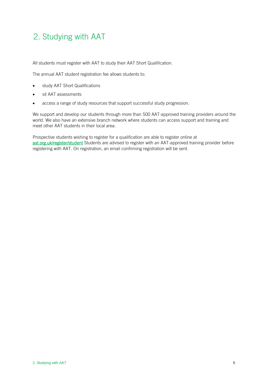### <span id="page-4-0"></span>2. Studying with AAT

All students must register with AAT to study their AAT Short Qualification.

The annual AAT student registration fee allows students to:

- study AAT Short Qualifications
- sit AAT assessments
- access a range of study resources that support successful study progression.

We support and develop our students through more than 500 AAT-approved training providers around the world. We also have an extensive branch network where students can access support and training and meet other AAT students in their local area.

Prospective students wishing to register for a qualification are able to register online at [aat.org.uk/register/student](http://www.aat.org.uk/register/student) Students are advised to register with an AAT-approved training provider before registering with AAT. On registration, an email confirming registration will be sent.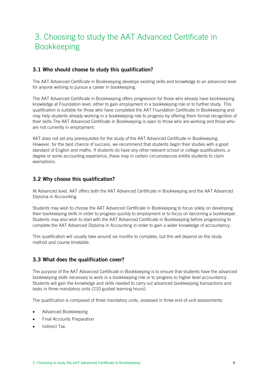### <span id="page-5-0"></span>3. Choosing to study the AAT Advanced Certificate in Bookkeeping

#### **3.1 Who should choose to study this qualification?**

The AAT Advanced Certificate in Bookkeeping develops existing skills and knowledge to an advanced level for anyone wishing to pursue a career in bookkeeping.

The AAT Advanced Certificate in Bookkeeping offers progression for those who already have bookkeeping knowledge at Foundation level, either to gain employment in a bookkeeping role or to further study. This qualification is suitable for those who have completed the AAT Foundation Certificate in Bookkeeping and may help students already working in a bookkeeping role to progress by offering them formal recognition of their skills.The AAT Advanced Certificate in Bookkeeping is open to those who are working and those who are not currently in employment.

AAT does not set any prerequisites for the study of the AAT Advanced Certificate in Bookkeeping. However, for the best chance of success, we recommend that students begin their studies with a good standard of English and maths. If students do have any other relevant school or college qualifications, a degree or some accounting experience, these may in certain circumstances entitle students to claim exemptions.

#### **3.2 Why choose this qualification?**

At Advanced level, AAT offers both the AAT Advanced Certificate in Bookkeeping and the AAT Advanced Diploma in Accounting.

Students may wish to choose the AAT Advanced Certificate in Bookkeeping to focus solely on developing their bookkeeping skills in order to progress quickly to employment or to focus on becoming a bookkeeper. Students may also wish to start with the AAT Advanced Certificate in Bookkeeping before progressing to complete the AAT Advanced Diploma in Accounting in order to gain a wider knowledge of accountancy.

This qualification will usually take around six months to complete, but this will depend on the study method and course timetable.

#### **3.3 What does the qualification cover?**

The purpose of the AAT Advanced Certificate in Bookkeeping is to ensure that students have the advanced bookkeeping skills necessary to work in a bookkeeping role or to progress to higher level accountancy. Students will gain the knowledge and skills needed to carry out advanced bookkeeping transactions and tasks in three mandatory units (210 guided learning hours).

The qualification is composed of three mandatory units, assessed in three end-of-unit assessments:

- Advanced Bookkeeping
- Final Accounts Preparation
- Indirect Tax.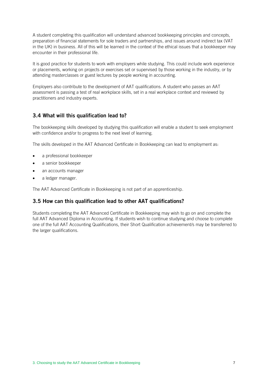A student completing this qualification will understand advanced bookkeeping principles and concepts, preparation of financial statements for sole traders and partnerships, and issues around indirect tax (VAT in the UK) in business. All of this will be learned in the context of the ethical issues that a bookkeeper may encounter in their professional life.

It is good practice for students to work with employers while studying. This could include work experience or placements, working on projects or exercises set or supervised by those working in the industry, or by attending masterclasses or guest lectures by people working in accounting.

Employers also contribute to the development of AAT qualifications. A student who passes an AAT assessment is passing a test of real workplace skills, set in a real workplace context and reviewed by practitioners and industry experts.

#### **3.4 What will this qualification lead to?**

The bookkeeping skills developed by studying this qualification will enable a student to seek employment with confidence and/or to progress to the next level of learning.

The skills developed in the AAT Advanced Certificate in Bookkeeping can lead to employment as:

- a professional bookkeeper
- a senior bookkeeper
- an accounts manager
- a ledger manager.

The AAT Advanced Certificate in Bookkeeping is not part of an apprenticeship.

#### **3.5 How can this qualification lead to other AAT qualifications?**

Students completing the AAT Advanced Certificate in Bookkeeping may wish to go on and complete the full AAT Advanced Diploma in Accounting. If students wish to continue studying and choose to complete one of the full AAT Accounting Qualifications, their Short Qualification achievement/s may be transferred to the larger qualifications.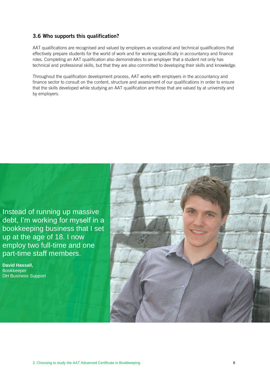#### **3.6 Who supports this qualification?**

AAT qualifications are recognised and valued by employers as vocational and technical qualifications that effectively prepare students for the world of work and for working specifically in accountancy and finance roles. Completing an AAT qualification also demonstrates to an employer that a student not only has technical and professional skills, but that they are also committed to developing their skills and knowledge.

Throughout the qualification development process, AAT works with employers in the accountancy and finance sector to consult on the content, structure and assessment of our qualifications in order to ensure that the skills developed while studying an AAT qualification are those that are valued by at university and by employers.

Instead of running up massive debt, I'm working for myself in a bookkeeping business that I set up at the age of 18. I now employ two full-time and one part-time staff members.

**David Hassall,** Bookkeeper DH Business Support

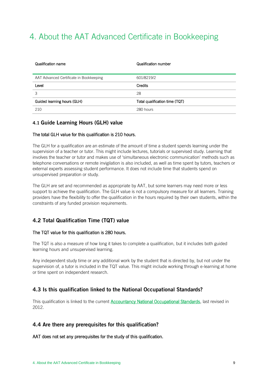### <span id="page-8-0"></span>4. About the AAT Advanced Certificate in Bookkeeping

| <b>Qualification name</b>               | <b>Qualification number</b>    |
|-----------------------------------------|--------------------------------|
|                                         |                                |
| AAT Advanced Certificate in Bookkeeping | 601/8219/2                     |
| Level                                   | Credits                        |
| 3                                       | 28                             |
| Guided learning hours (GLH)             | Total qualification time (TQT) |
| 210                                     | 280 hours                      |

#### **4.1 Guide Learning Hours (GLH) value**

#### The total GLH value for this qualification is 210 hours.

The GLH for a qualification are an estimate of the amount of time a student spends learning under the supervision of a teacher or tutor. This might include lectures, tutorials or supervised study. Learning that involves the teacher or tutor and makes use of 'simultaneous electronic communication' methods such as telephone conversations or remote invigilation is also included, as well as time spent by tutors, teachers or external experts assessing student performance. It does not include time that students spend on unsupervised preparation or study.

The GLH are set and recommended as appropriate by AAT, but some learners may need more or less support to achieve the qualification. The GLH value is not a compulsory measure for all learners. Training providers have the flexibility to offer the qualification in the hours required by their own students, within the constraints of any funded provision requirements.

#### **4.2 Total Qualification Time (TQT) value**

#### The TQT value for this qualification is 280 hours.

The TQT is also a measure of how long it takes to complete a qualification, but it includes both guided learning hours and unsupervised learning.

Any independent study time or any additional work by the student that is directed by, but not under the supervision of, a tutor is included in the TQT value. This might include working through e-learning at home or time spent on independent research.

#### **4.3 Is this qualification linked to the National Occupational Standards?**

This qualification is linked to the current [Accountancy National Occupational Standards,](http://nos.ukces.org.uk/Pages/index.aspx) last revised in 2012.

#### **4.4 Are there any prerequisites for this qualification?**

AAT does not set any prerequisites for the study of this qualification.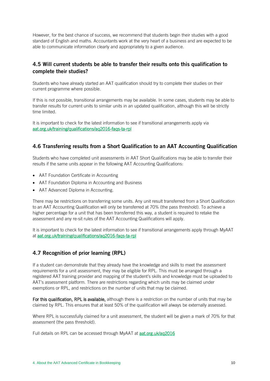However, for the best chance of success, we recommend that students begin their studies with a good standard of English and maths. Accountants work at the very heart of a business and are expected to be able to communicate information clearly and appropriately to a given audience.

#### **4.5 Will current students be able to transfer their results onto this qualification to complete their studies?**

Students who have already started an AAT qualification should try to complete their studies on their current programme where possible.

If this is not possible, transitional arrangements may be available. In some cases, students may be able to transfer results for current units to similar units in an updated qualification, although this will be strictly time limited.

It is important to check for the latest information to see if transitional arrangements apply via [aat.org.uk/training/qualifications/aq2016-faqs-ta-rpl](https://www.aat.org.uk/training/qualifications/aq2016-faqs-ta-rpl)

#### **4.6 Transferring results from a Short Qualification to an AAT Accounting Qualification**

Students who have completed unit assessments in AAT Short Qualifications may be able to transfer their results if the same units appear in the following AAT Accounting Qualifications:

- AAT Foundation Certificate in Accounting
- AAT Foundation Diploma in Accounting and Business
- AAT Advanced Diploma in Accounting.

There may be restrictions on transferring some units. Any unit result transferred from a Short Qualification to an AAT Accounting Qualification will only be transferred at 70% (the pass threshold). To achieve a higher percentage for a unit that has been transferred this way, a student is required to retake the assessment and any re-sit rules of the AAT Accounting Qualifications will apply.

It is important to check for the latest information to see if transitional arrangements apply through MyAAT at [aat.org.uk/training/qualifications/aq2016-faqs-ta-rpl](https://www.aat.org.uk/training/qualifications/aq2016-faqs-ta-rpl)

#### **4.7 Recognition of prior learning (RPL)**

If a student can demonstrate that they already have the knowledge and skills to meet the assessment requirements for a unit assessment, they may be eligible for RPL. This must be arranged through a registered AAT training provider and mapping of the student's skills and knowledge must be uploaded to AAT's assessment platform. There are restrictions regarding which units may be claimed under exemptions or RPL, and restrictions on the number of units that may be claimed.

For this qualification, RPL is available, although there is a restriction on the number of units that may be claimed by RPL. This ensures that at least 50% of the qualification will always be externally assessed.

Where RPL is successfully claimed for a unit assessment, the student will be given a mark of 70% for that assessment (the pass threshold).

Full details on RPL can be accessed through MyAAT at [aat.org.uk/aq2016](http://www.aat.org.uk/aq2016)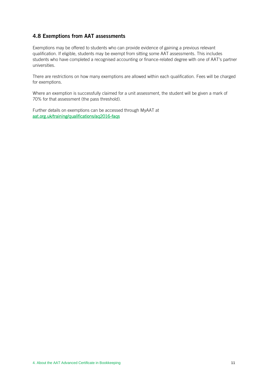#### **4.8 Exemptions from AAT assessments**

Exemptions may be offered to students who can provide evidence of gaining a previous relevant qualification. If eligible, students may be exempt from sitting some AAT assessments. This includes students who have completed a recognised accounting or finance-related degree with one of AAT's partner universities.

There are restrictions on how many exemptions are allowed within each qualification. Fees will be charged for exemptions.

Where an exemption is successfully claimed for a unit assessment, the student will be given a mark of 70% for that assessment (the pass threshold).

Further details on exemptions can be accessed through MyAAT at [aat.org.uk/training/qualifications/aq2016-faqs](https://www.aat.org.uk/training/qualifications/aq2016-faqs)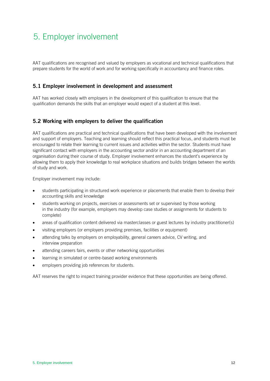### <span id="page-11-0"></span>5. Employer involvement

AAT qualifications are recognised and valued by employers as vocational and technical qualifications that prepare students for the world of work and for working specifically in accountancy and finance roles.

#### **5.1 Employer involvement in development and assessment**

AAT has worked closely with employers in the development of this qualification to ensure that the qualification demands the skills that an employer would expect of a student at this level.

#### **5.2 Working with employers to deliver the qualification**

AAT qualifications are practical and technical qualifications that have been developed with the involvement and support of employers. Teaching and learning should reflect this practical focus, and students must be encouraged to relate their learning to current issues and activities within the sector. Students must have significant contact with employers in the accounting sector and/or in an accounting department of an organisation during their course of study. Employer involvement enhances the student's experience by allowing them to apply their knowledge to real workplace situations and builds bridges between the worlds of study and work.

Employer involvement may include:

- students participating in structured work experience or placements that enable them to develop their accounting skills and knowledge
- students working on projects, exercises or assessments set or supervised by those working in the industry (for example, employers may develop case studies or assignments for students to complete)
- areas of qualification content delivered via masterclasses or guest lectures by industry practitioner(s)
- visiting employers (or employers providing premises, facilities or equipment)
- attending talks by employers on employability, general careers advice, CV writing, and interview preparation
- attending careers fairs, events or other networking opportunities
- learning in simulated or centre-based working environments
- employers providing job references for students.

AAT reserves the right to inspect training provider evidence that these opportunities are being offered.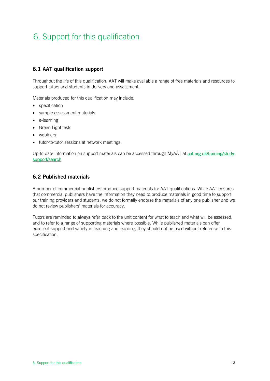### <span id="page-12-0"></span>6. Support for this qualification

#### **6.1 AAT qualification support**

Throughout the life of this qualification, AAT will make available a range of free materials and resources to support tutors and students in delivery and assessment.

Materials produced for this qualification may include:

- specification
- sample assessment materials
- e-learning
- Green Light tests
- webinars
- tutor-to-tutor sessions at network meetings.

Up-to-date information on support materials can be accessed through MyAAT at [aat.org.uk/training/study](http://www.aat.org.uk/training/study-support/search)[support/search](http://www.aat.org.uk/training/study-support/search)

#### **6.2 Published materials**

A number of commercial publishers produce support materials for AAT qualifications. While AAT ensures that commercial publishers have the information they need to produce materials in good time to support our training providers and students, we do not formally endorse the materials of any one publisher and we do not review publishers' materials for accuracy.

Tutors are reminded to always refer back to the unit content for what to teach and what will be assessed, and to refer to a range of supporting materials where possible. While published materials can offer excellent support and variety in teaching and learning, they should not be used without reference to this specification.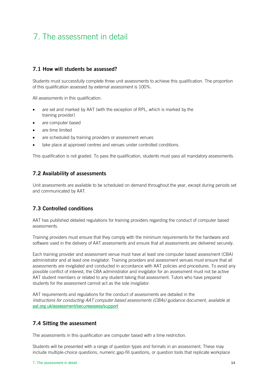### <span id="page-13-0"></span>7. The assessment in detail

#### **7.1 How will students be assessed?**

Students must successfully complete three unit assessments to achieve this qualification. The proportion of this qualification assessed by external assessment is 100%.

All assessments in this qualification:

- are set and marked by AAT (with the exception of RPL, which is marked by the training provider)
- are computer based
- are time limited
- are scheduled by training providers or assessment venues
- take place at approved centres and venues under controlled conditions.

This qualification is not graded. To pass the qualification, students must pass all mandatory assessments.

#### **7.2 Availability of assessments**

Unit assessments are available to be scheduled on demand throughout the year, except during periods set and communicated by AAT.

#### **7.3 Controlled conditions**

AAT has published detailed regulations for training providers regarding the conduct of computer based assessments.

Training providers must ensure that they comply with the minimum requirements for the hardware and software used in the delivery of AAT assessments and ensure that all assessments are delivered securely.

Each training provider and assessment venue must have at least one computer based assessment (CBA) administrator and at least one invigilator. Training providers and assessment venues must ensure that all assessments are invigilated and conducted in accordance with AAT policies and procedures. To avoid any possible conflict of interest, the CBA administrator and invigilator for an assessment must not be active AAT student members or related to any student taking that assessment. Tutors who have prepared students for the assessment cannot act as the sole invigilator.

AAT requirements and regulations for the conduct of assessments are detailed in the Instructions for conducting AAT computer based assessments (CBAs) guidance document, available at [aat.org.uk/assessment/secureassess/support](https://www.aat.org.uk/assessment/secureassess/support)

#### **7.4 Sitting the assessment**

The assessments in this qualification are computer based with a time restriction.

Students will be presented with a range of question types and formats in an assessment. These may include multiple-choice questions, numeric gap-fill questions, or question tools that replicate workplace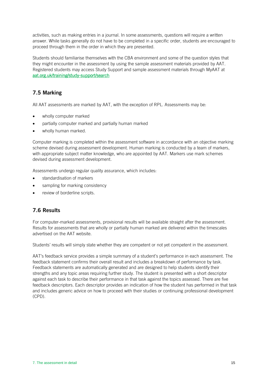activities, such as making entries in a journal. In some assessments, questions will require a written answer. While tasks generally do not have to be completed in a specific order, students are encouraged to proceed through them in the order in which they are presented.

Students should familiarise themselves with the CBA environment and some of the question styles that they might encounter in the assessment by using the sample assessment materials provided by AAT. Registered students may access Study Support and sample assessment materials through MyAAT at [aat.org.uk/training/study-support/search](https://www.aat.org.uk/training/study-support/search)

#### **7.5 Marking**

All AAT assessments are marked by AAT, with the exception of RPL. Assessments may be:

- wholly computer marked
- partially computer marked and partially human marked
- wholly human marked.

Computer marking is completed within the assessment software in accordance with an objective marking scheme devised during assessment development. Human marking is conducted by a team of markers, with appropriate subject matter knowledge, who are appointed by AAT. Markers use mark schemes devised during assessment development.

Assessments undergo regular quality assurance, which includes:

- standardisation of markers
- sampling for marking consistency
- review of borderline scripts.

#### **7.6 Results**

For computer-marked assessments, provisional results will be available straight after the assessment. Results for assessments that are wholly or partially human marked are delivered within the timescales advertised on the AAT website.

Students' results will simply state whether they are competent or not yet competent in the assessment.

AAT's feedback service provides a simple summary of a student's performance in each assessment. The feedback statement confirms their overall result and includes a breakdown of performance by task. Feedback statements are automatically generated and are designed to help students identify their strengths and any topic areas requiring further study. The student is presented with a short descriptor against each task to describe their performance in that task against the topics assessed. There are five feedback descriptors. Each descriptor provides an indication of how the student has performed in that task and includes generic advice on how to proceed with their studies or continuing professional development (CPD).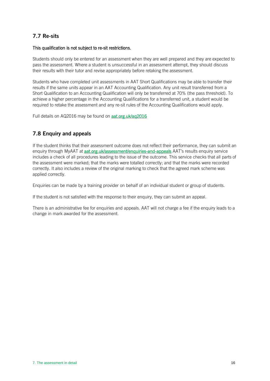#### **7.7 Re-sits**

#### This qualification is not subject to re-sit restrictions.

Students should only be entered for an assessment when they are well prepared and they are expected to pass the assessment. Where a student is unsuccessful in an assessment attempt, they should discuss their results with their tutor and revise appropriately before retaking the assessment.

Students who have completed unit assessments in AAT Short Qualifications may be able to transfer their results if the same units appear in an AAT Accounting Qualification. Any unit result transferred from a Short Qualification to an Accounting Qualification will only be transferred at 70% (the pass threshold). To achieve a higher percentage in the Accounting Qualifications for a transferred unit, a student would be required to retake the assessment and any re-sit rules of the Accounting Qualifications would apply.

Full details on AQ2016 may be found on [aat.org.uk/aq2016](http://www.aat.org.uk/aq2016)

#### **7.8 Enquiry and appeals**

If the student thinks that their assessment outcome does not reflect their performance, they can submit an enquiry through MyAAT at [aat.org.uk/assessment/enquiries-and-appeals](http://www.aat.org.uk/assessment/enquiries-and-appeals) AAT's results enquiry service includes a check of all procedures leading to the issue of the outcome. This service checks that all parts of the assessment were marked; that the marks were totalled correctly; and that the marks were recorded correctly. It also includes a review of the original marking to check that the agreed mark scheme was applied correctly.

Enquiries can be made by a training provider on behalf of an individual student or group of students.

If the student is not satisfied with the response to their enquiry, they can submit an appeal.

There is an administrative fee for enquiries and appeals. AAT will not charge a fee if the enquiry leads to a change in mark awarded for the assessment.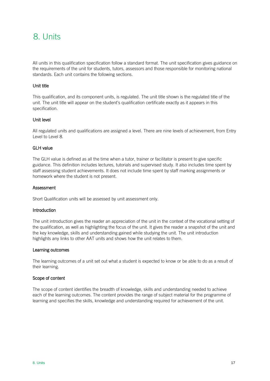### <span id="page-16-0"></span>8. Units

All units in this qualification specification follow a standard format. The unit specification gives guidance on the requirements of the unit for students, tutors, assessors and those responsible for monitoring national standards. Each unit contains the following sections.

#### Unit title

This qualification, and its component units, is regulated. The unit title shown is the regulated title of the unit. The unit title will appear on the student's qualification certificate exactly as it appears in this specification.

#### Unit level

All regulated units and qualifications are assigned a level. There are nine levels of achievement, from Entry Level to Level 8.

#### GLH value

The GLH value is defined as all the time when a tutor, trainer or facilitator is present to give specific guidance. This definition includes lectures, tutorials and supervised study. It also includes time spent by staff assessing student achievements. It does not include time spent by staff marking assignments or homework where the student is not present.

#### **Assessment**

Short Qualification units will be assessed by unit assessment only.

#### **Introduction**

The unit introduction gives the reader an appreciation of the unit in the context of the vocational setting of the qualification, as well as highlighting the focus of the unit. It gives the reader a snapshot of the unit and the key knowledge, skills and understanding gained while studying the unit. The unit introduction highlights any links to other AAT units and shows how the unit relates to them.

#### Learning outcomes

The learning outcomes of a unit set out what a student is expected to know or be able to do as a result of their learning.

#### Scope of content

The scope of content identifies the breadth of knowledge, skills and understanding needed to achieve each of the learning outcomes. The content provides the range of subject material for the programme of learning and specifies the skills, knowledge and understanding required for achievement of the unit.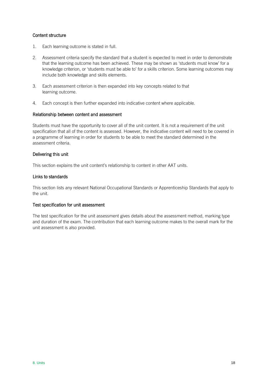#### Content structure

- 1. Each learning outcome is stated in full.
- 2. Assessment criteria specify the standard that a student is expected to meet in order to demonstrate that the learning outcome has been achieved. These may be shown as 'students must know' for a knowledge criterion, or 'students must be able to' for a skills criterion. Some learning outcomes may include both knowledge and skills elements.
- 3. Each assessment criterion is then expanded into key concepts related to that learning outcome.
- 4. Each concept is then further expanded into indicative content where applicable.

#### Relationship between content and assessment

Students must have the opportunity to cover all of the unit content. It is not a requirement of the unit specification that all of the content is assessed. However, the indicative content will need to be covered in a programme of learning in order for students to be able to meet the standard determined in the assessment criteria.

#### Delivering this unit

This section explains the unit content's relationship to content in other AAT units.

#### Links to standards

This section lists any relevant National Occupational Standards or Apprenticeship Standards that apply to the unit.

#### Test specification for unit assessment

The test specification for the unit assessment gives details about the assessment method, marking type and duration of the exam. The contribution that each learning outcome makes to the overall mark for the unit assessment is also provided.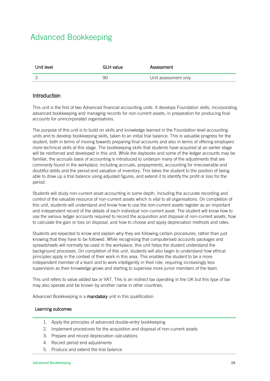### <span id="page-18-0"></span>Advanced Bookkeeping

| Unit level | <b>GLH</b> value | Assessment           |
|------------|------------------|----------------------|
|            | 90               | Unit assessment only |

#### Introduction

This unit is the first of two Advanced financial accounting units. It develops Foundation skills, incorporating advanced bookkeeping and managing records for non-current assets, in preparation for producing final accounts for unincorporated organisations.

The purpose of this unit is to build on skills and knowledge learned in the Foundation level accounting units and to develop bookkeeping skills, taken to an initial trial balance. This is valuable progress for the student, both in terms of moving towards preparing final accounts and also in terms of offering employers more technical skills at this stage. The bookkeeping skills that students have acquired at an earlier stage will be reinforced and developed in this unit. While the daybooks and some of the ledger accounts may be familiar, the accruals basis of accounting is introduced to underpin many of the adjustments that are commonly found in the workplace, including accruals, prepayments, accounting for irrecoverable and doubtful debts and the period end valuation of inventory. This takes the student to the position of being able to draw up a trial balance using adjusted figures, and extend it to identify the profit or loss for the period.

Students will study non-current asset accounting in some depth, including the accurate recording and control of the valuable resource of non-current assets which is vital to all organisations. On completion of this unit, students will understand and know how to use the non-current assets register as an important and independent record of the details of each individual non-current asset. The student will know how to use the various ledger accounts required to record the acquisition and disposal of non-current assets, how to calculate the gain or loss on disposal, and how to choose and apply depreciation methods and rates.

Students are expected to know and explain why they are following certain procedures, rather than just knowing that they have to be followed. While recognising that computerised accounts packages and spreadsheets will normally be used in the workplace, this unit helps the student understand the background processes. On completion of this unit, students will also begin to understand how ethical principles apply in the context of their work in this area. This enables the student to be a more independent member of a team and to work intelligently in their role, requiring increasingly less supervision as their knowledge grows and starting to supervise more junior members of the team.

This unit refers to value added tax or VAT. This is an indirect tax operating in the UK but this type of tax may also operate and be known by another name in other countries.

Advanced Bookkeeping is a mandatory unit in this qualification.

#### Learning outcomes

- 1. Apply the principles of advanced double-entry bookkeeping
- 2. Implement procedures for the acquisition and disposal of non-current assets
- 3. Prepare and record depreciation calculations
- 4. Record period end adjustments
- 5. Produce and extend the trial balance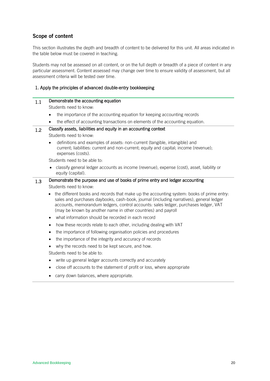#### **Scope of content**

This section illustrates the depth and breadth of content to be delivered for this unit. All areas indicated in the table below must be covered in teaching.

Students may not be assessed on all content, or on the full depth or breadth of a piece of content in any particular assessment. Content assessed may change over time to ensure validity of assessment, but all assessment criteria will be tested over time.

#### 1. Apply the principles of advanced double-entry bookkeeping

#### 1.1 Demonstrate the accounting equation

Students need to know:

- the importance of the accounting equation for keeping accounting records
- the effect of accounting transactions on elements of the accounting equation.

#### 1.2 Classify assets, liabilities and equity in an accounting context

Students need to know:

• definitions and examples of assets: non-current (tangible, intangible) and current; liabilities: current and non-current; equity and capital; income (revenue); expenses (costs).

Students need to be able to:

• classify general ledger accounts as income (revenue), expense (cost), asset, liability or equity (capital).

#### 1.3 Demonstrate the purpose and use of books of prime entry and ledger accounting Students need to know:

- the different books and records that make up the accounting system: books of prime entry: sales and purchases daybooks, cash-book, journal (including narratives), general ledger accounts, memorandum ledgers, control accounts: sales ledger, purchases ledger, VAT (may be known by another name in other countries) and payroll
- what information should be recorded in each record
- how these records relate to each other, including dealing with VAT
- the importance of following organisation policies and procedures
- the importance of the integrity and accuracy of records
- why the records need to be kept secure, and how.

Students need to be able to:

- write up general ledger accounts correctly and accurately
- close off accounts to the statement of profit or loss, where appropriate
- carry down balances, where appropriate.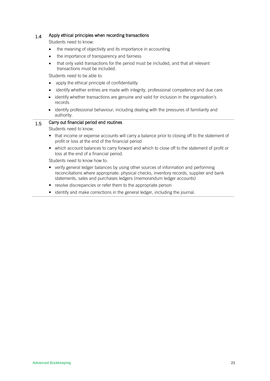#### 1.4 Apply ethical principles when recording transactions

Students need to know:

- the meaning of objectivity and its importance in accounting
- the importance of transparency and fairness
- that only valid transactions for the period must be included, and that all relevant transactions must be included.

Students need to be able to:

- apply the ethical principle of confidentiality
- identify whether entries are made with integrity, professional competence and due care
- identify whether transactions are genuine and valid for inclusion in the organisation's records
- identify professional behaviour, including dealing with the pressures of familiarity and authority.

#### 1.5 Carry out financial period end routines

Students need to know:

- that income or expense accounts will carry a balance prior to closing off to the statement of profit or loss at the end of the financial period
- which account balances to carry forward and which to close off to the statement of profit or loss at the end of a financial period.

Students need to know how to:

- verify general ledger balances by using other sources of information and performing reconciliations where appropriate: physical checks, inventory records, supplier and bank statements, sales and purchases ledgers (memorandum ledger accounts)
- resolve discrepancies or refer them to the appropriate person
- identify and make corrections in the general ledger, including the journal.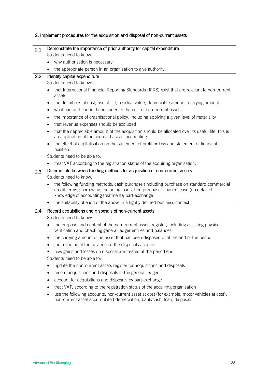#### 2. Implement procedures for the acquisition and disposal of non-current assets

#### 2.1 Demonstrate the importance of prior authority for capital expenditure

Students need to know:

- why authorisation is necessary
- the appropriate person in an organisation to give authority.

#### 2.2 Identify capital expenditure

Students need to know:

- that International Financial Reporting Standards (IFRS) exist that are relevant to non-current assets
- the definitions of cost, useful life, residual value, depreciable amount, carrying amount
- what can and cannot be included in the cost of non-current assets
- the importance of organisational policy, including applying a given level of materiality
- that revenue expenses should be excluded
- that the depreciable amount of the acquisition should be allocated over its useful life; this is an application of the accrual basis of accounting
- the effect of capitalisation on the statement of profit or loss and statement of financial position.

Students need to be able to:

• treat VAT according to the registration status of the acquiring organisation.

#### 2.3 Differentiate between funding methods for acquisition of non-current assets

Students need to know:

- the following funding methods: cash purchase (including purchase on standard commercial credit terms); borrowing, including loans, hire purchase, finance lease (no detailed knowledge of accounting treatment); part-exchange
- the suitability of each of the above in a tightly defined business context.

#### 2.4 Record acquisitions and disposals of non-current assets

Students need to know:

- the purpose and content of the non-current assets register, including assisting physical verification and checking general ledger entries and balances
- the carrying amount of an asset that has been disposed of at the end of the period
- the meaning of the balance on the disposals account
- how gains and losses on disposal are treated at the period end

Students need to be able to:

- update the non-current assets register for acquisitions and disposals
- record acquisitions and disposals in the general ledger
- account for acquisitions and disposals by part-exchange
- treat VAT, according to the registration status of the acquiring organisation
- use the following accounts: non-current asset at cost (for example, motor vehicles at cost), non-current asset accumulated depreciation, bank/cash, loan, disposals.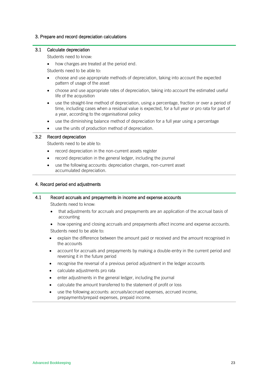#### 3. Prepare and record depreciation calculations

#### 3.1 Calculate depreciation

Students need to know:

• how charges are treated at the period end.

Students need to be able to:

- choose and use appropriate methods of depreciation, taking into account the expected pattern of usage of the asset
- choose and use appropriate rates of depreciation, taking into account the estimated useful life of the acquisition
- use the straight-line method of depreciation, using a percentage, fraction or over a period of time, including cases when a residual value is expected, for a full year or pro rata for part of a year, according to the organisational policy
- use the diminishing balance method of depreciation for a full year using a percentage
- use the units of production method of depreciation.

#### 3.2 Record depreciation

Students need to be able to:

- record depreciation in the non-current assets register
- record depreciation in the general ledger, including the journal
- use the following accounts: depreciation charges, non-current asset accumulated depreciation.

#### 4. Record period end adjustments

#### 4.1 Record accruals and prepayments in income and expense accounts

Students need to know:

- that adjustments for accruals and prepayments are an application of the accrual basis of accounting
- how opening and closing accruals and prepayments affect income and expense accounts. Students need to be able to:
- explain the difference between the amount paid or received and the amount recognised in the accounts
- account for accruals and prepayments by making a double-entry in the current period and reversing it in the future period
- recognise the reversal of a previous period adjustment in the ledger accounts
- calculate adjustments pro rata
- enter adjustments in the general ledger, including the journal
- calculate the amount transferred to the statement of profit or loss
- use the following accounts: accruals/accrued expenses, accrued income, prepayments/prepaid expenses, prepaid income.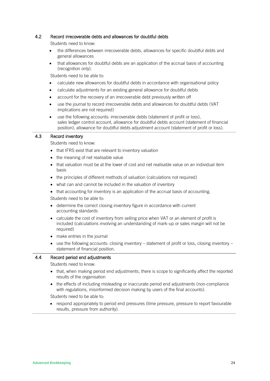#### 4.2 Record irrecoverable debts and allowances for doubtful debts

Students need to know:

- the differences between irrecoverable debts, allowances for specific doubtful debts and general allowances
- that allowances for doubtful debts are an application of the accrual basis of accounting (recognition only).

Students need to be able to:

- calculate new allowances for doubtful debts in accordance with organisational policy
- calculate adjustments for an existing general allowance for doubtful debts
- account for the recovery of an irrecoverable debt previously written off
- use the journal to record irrecoverable debts and allowances for doubtful debts (VAT implications are not required)
- use the following accounts: irrecoverable debts (statement of profit or loss), sales ledger control account, allowance for doubtful debts account (statement of financial position), allowance for doubtful debts adjustment account (statement of profit or loss).

#### 4.3 Record inventory

Students need to know:

- that IFRS exist that are relevant to inventory valuation
- the meaning of net realisable value
- that valuation must be at the lower of cost and net realisable value on an individual item basis
- the principles of different methods of valuation (calculations not required)
- what can and cannot be included in the valuation of inventory
- that accounting for inventory is an application of the accrual basis of accounting.

Students need to be able to:

- determine the correct closing inventory figure in accordance with current accounting standards
- calculate the cost of inventory from selling price when VAT or an element of profit is included (calculations involving an understanding of mark-up or sales margin will not be required)
- make entries in the journal
- use the following accounts: closing inventory statement of profit or loss, closing inventory statement of financial position.

#### 4.4 Record period end adjustments

Students need to know:

- that, when making period end adjustments, there is scope to significantly affect the reported results of the organisation
- the effects of including misleading or inaccurate period end adjustments (non-compliance with regulations, misinformed decision making by users of the final accounts).

Students need to be able to:

• respond appropriately to period end pressures (time pressure, pressure to report favourable results, pressure from authority).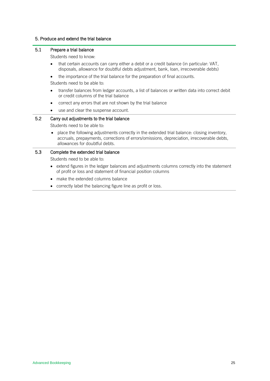#### 5. Produce and extend the trial balance

#### 5.1 Prepare a trial balance

Students need to know:

- that certain accounts can carry either a debit or a credit balance (in particular: VAT, disposals, allowance for doubtful debts adjustment, bank, loan, irrecoverable debts)
- the importance of the trial balance for the preparation of final accounts.

Students need to be able to:

- transfer balances from ledger accounts, a list of balances or written data into correct debit or credit columns of the trial balance
- correct any errors that are not shown by the trial balance
- use and clear the suspense account.

#### 5.2 Carry out adjustments to the trial balance

Students need to be able to:

• place the following adjustments correctly in the extended trial balance: closing inventory, accruals, prepayments, corrections of errors/omissions, depreciation, irrecoverable debts, allowances for doubtful debts.

#### 5.3 Complete the extended trial balance

Students need to be able to:

- extend figures in the ledger balances and adjustments columns correctly into the statement of profit or loss and statement of financial position columns
- make the extended columns balance
- correctly label the balancing figure line as profit or loss.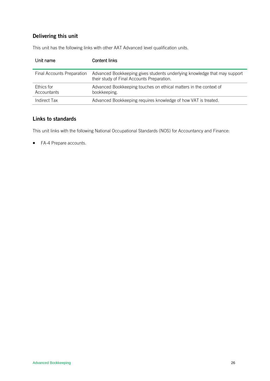#### **Delivering this unit**

This unit has the following links with other AAT Advanced level qualification units.

| Unit name                  | Content links                                                                                                           |
|----------------------------|-------------------------------------------------------------------------------------------------------------------------|
| Final Accounts Preparation | Advanced Bookkeeping gives students underlying knowledge that may support<br>their study of Final Accounts Preparation. |
| Ethics for<br>Accountants  | Advanced Bookkeeping touches on ethical matters in the context of<br>bookkeeping.                                       |
| Indirect Tax               | Advanced Bookkeeping requires knowledge of how VAT is treated.                                                          |

#### **Links to standards**

This unit links with the following National Occupational Standards (NOS) for Accountancy and Finance:

• FA-4 Prepare accounts.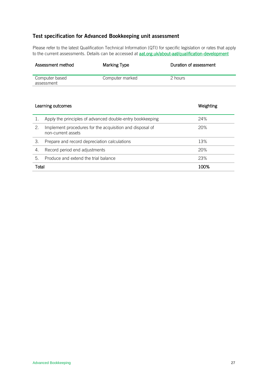#### **Test specification for Advanced Bookkeeping unit assessment**

Please refer to the latest Qualification Technical Information (QTI) for specific legislation or rates that apply to the current assessments. Details can be accessed at **aat.org.uk/about-aat/qualification-development** 

| Assessment method            | <b>Marking Type</b> | Duration of assessment |
|------------------------------|---------------------|------------------------|
| Computer based<br>assessment | Computer marked     | 2 hours                |

|       | Learning outcomes                                                              | Weighting |
|-------|--------------------------------------------------------------------------------|-----------|
|       | Apply the principles of advanced double-entry bookkeeping                      | 24%       |
| 2.    | Implement procedures for the acquisition and disposal of<br>non-current assets | 20%       |
| 3.    | Prepare and record depreciation calculations                                   | 13%       |
| 4.    | Record period end adjustments                                                  | 20%       |
| .5.   | Produce and extend the trial balance                                           | 23%       |
| Total |                                                                                | 100%      |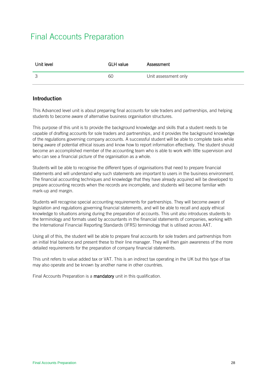### <span id="page-27-0"></span>Final Accounts Preparation

| Unit level               | <b>GLH</b> value | Assessment           |
|--------------------------|------------------|----------------------|
| $\overline{\phantom{0}}$ | 60               | Unit assessment only |

#### **Introduction**

This Advanced level unit is about preparing final accounts for sole traders and partnerships, and helping students to become aware of alternative business organisation structures.

This purpose of this unit is to provide the background knowledge and skills that a student needs to be capable of drafting accounts for sole traders and partnerships, and it provides the background knowledge of the regulations governing company accounts. A successful student will be able to complete tasks while being aware of potential ethical issues and know how to report information effectively. The student should become an accomplished member of the accounting team who is able to work with little supervision and who can see a financial picture of the organisation as a whole.

Students will be able to recognise the different types of organisations that need to prepare financial statements and will understand why such statements are important to users in the business environment. The financial accounting techniques and knowledge that they have already acquired will be developed to prepare accounting records when the records are incomplete, and students will become familiar with mark-up and margin.

Students will recognise special accounting requirements for partnerships. They will become aware of legislation and regulations governing financial statements, and will be able to recall and apply ethical knowledge to situations arising during the preparation of accounts. This unit also introduces students to the terminology and formats used by accountants in the financial statements of companies, working with the International Financial Reporting Standards (IFRS) terminology that is utilised across AAT.

Using all of this, the student will be able to prepare final accounts for sole traders and partnerships from an initial trial balance and present these to their line manager. They will then gain awareness of the more detailed requirements for the preparation of company financial statements.

This unit refers to value added tax or VAT. This is an indirect tax operating in the UK but this type of tax may also operate and be known by another name in other countries.

Final Accounts Preparation is a **mandatory** unit in this qualification.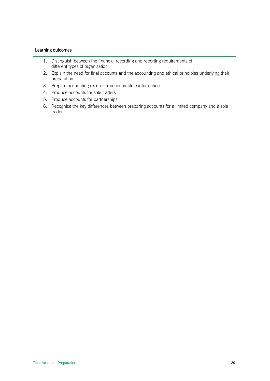#### Learning outcomes

- 1. Distinguish between the financial recording and reporting requirements of different types of organisation
- 2. Explain the need for final accounts and the accounting and ethical principles underlying their preparation
- 3. Prepare accounting records from incomplete information
- 4. Produce accounts for sole traders
- 5. Produce accounts for partnerships
- 6. Recognise the key differences between preparing accounts for a limited company and a sole trader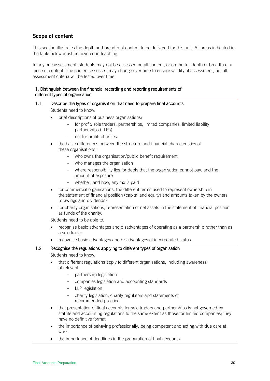#### **Scope of content**

This section illustrates the depth and breadth of content to be delivered for this unit. All areas indicated in the table below must be covered in teaching.

In any one assessment, students may not be assessed on all content, or on the full depth or breadth of a piece of content. The content assessed may change over time to ensure validity of assessment, but all assessment criteria will be tested over time.

#### 1. Distinguish between the financial recording and reporting requirements of different types of organisation

1.1 Describe the types of organisation that need to prepare final accounts

Students need to know:

- brief descriptions of business organisations:
	- for profit: sole traders, partnerships, limited companies, limited liability partnerships (LLPs)
	- not for profit: charities
- the basic differences between the structure and financial characteristics of these organisations:
	- who owns the organisation/public benefit requirement
	- who manages the organisation
	- where responsibility lies for debts that the organisation cannot pay, and the amount of exposure
	- whether, and how, any tax is paid
- for commercial organisations, the different terms used to represent ownership in the statement of financial position (capital and equity) and amounts taken by the owners (drawings and dividends)
- for charity organisations, representation of net assets in the statement of financial position as funds of the charity.

Students need to be able to:

- recognise basic advantages and disadvantages of operating as a partnership rather than as a sole trader
- recognise basic advantages and disadvantages of incorporated status.

#### 1.2 Recognise the regulations applying to different types of organisation

Students need to know:

- that different regulations apply to different organisations, including awareness of relevant:
	- partnership legislation
	- companies legislation and accounting standards
	- LLP legislation
	- charity legislation, charity regulators and statements of recommended practice
- that presentation of final accounts for sole traders and partnerships is not governed by statute and accounting regulations to the same extent as those for limited companies; they have no definitive format
- the importance of behaving professionally, being competent and acting with due care at work
- the importance of deadlines in the preparation of final accounts.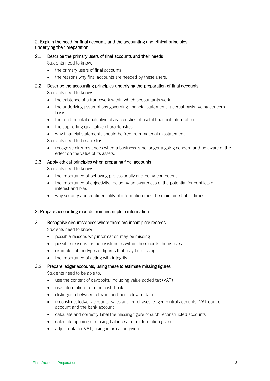#### 2. Explain the need for final accounts and the accounting and ethical principles underlying their preparation

#### 2.1 Describe the primary users of final accounts and their needs

Students need to know:

- the primary users of final accounts
- the reasons why final accounts are needed by these users.

#### 2.2 Describe the accounting principles underlying the preparation of final accounts Students need to know:

- the existence of a framework within which accountants work
- the underlying assumptions governing financial statements: accrual basis, going concern basis
- the fundamental qualitative characteristics of useful financial information
- the supporting qualitative characteristics
- why financial statements should be free from material misstatement.

Students need to be able to:

• recognise circumstances when a business is no longer a going concern and be aware of the effect on the value of its assets.

#### 2.3 Apply ethical principles when preparing final accounts

Students need to know:

- the importance of behaving professionally and being competent
- the importance of objectivity, including an awareness of the potential for conflicts of interest and bias
- why security and confidentiality of information must be maintained at all times.

#### 3. Prepare accounting records from incomplete information

#### 3.1 Recognise circumstances where there are incomplete records

Students need to know:

- possible reasons why information may be missing
- possible reasons for inconsistencies within the records themselves
- examples of the types of figures that may be missing
- the importance of acting with integrity.

#### 3.2 Prepare ledger accounts, using these to estimate missing figures

Students need to be able to:

- use the content of daybooks, including value added tax (VAT)
- use information from the cash book
- distinguish between relevant and non-relevant data
- reconstruct ledger accounts: sales and purchases ledger control accounts, VAT control account and the bank account
- calculate and correctly label the missing figure of such reconstructed accounts
- calculate opening or closing balances from information given
- adjust data for VAT, using information given.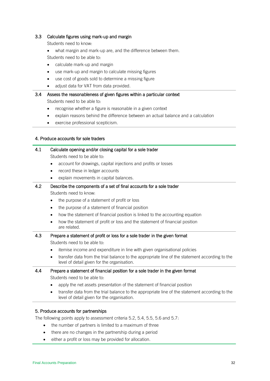#### 3.3 Calculate figures using mark-up and margin

Students need to know:

- what margin and mark-up are, and the difference between them. Students need to be able to:
- calculate mark-up and margin
- use mark-up and margin to calculate missing figures
- use cost of goods sold to determine a missing figure
- adjust data for VAT from data provided.

#### 3.4 Assess the reasonableness of given figures within a particular context

Students need to be able to:

- recognise whether a figure is reasonable in a given context
- explain reasons behind the difference between an actual balance and a calculation
- exercise professional scepticism.

#### 4. Produce accounts for sole traders

#### 4.1 Calculate opening and/or closing capital for a sole trader

Students need to be able to:

- account for drawings, capital injections and profits or losses
- record these in ledger accounts
- explain movements in capital balances.

#### 4.2 Describe the components of a set of final accounts for a sole trader

Students need to know:

- the purpose of a statement of profit or loss
- the purpose of a statement of financial position
- how the statement of financial position is linked to the accounting equation
- how the statement of profit or loss and the statement of financial position are related.

#### 4.3 Prepare a statement of profit or loss for a sole trader in the given format

Students need to be able to:

- itemise income and expenditure in line with given organisational policies
- transfer data from the trial balance to the appropriate line of the statement according to the level of detail given for the organisation.

#### 4.4 Prepare a statement of financial position for a sole trader in the given format

Students need to be able to:

- apply the net assets presentation of the statement of financial position
- transfer data from the trial balance to the appropriate line of the statement according to the level of detail given for the organisation.

#### 5. Produce accounts for partnerships

The following points apply to assessment criteria 5.2, 5.4, 5.5, 5.6 and 5.7:

- the number of partners is limited to a maximum of three
- there are no changes in the partnership during a period
- either a profit or loss may be provided for allocation.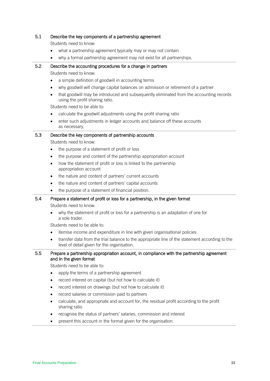#### 5.1 Describe the key components of a partnership agreement

Students need to know:

- what a partnership agreement typically may or may not contain
- why a formal partnership agreement may not exist for all partnerships.

#### 5.2 Describe the accounting procedures for a change in partners

Students need to know:

- a simple definition of goodwill in accounting terms
- why goodwill will change capital balances on admission or retirement of a partner
- that goodwill may be introduced and subsequently eliminated from the accounting records using the profit sharing ratio.

Students need to be able to:

- calculate the goodwill adjustments using the profit sharing ratio
- enter such adjustments in ledger accounts and balance off these accounts as necessary.

#### 5.3 Describe the key components of partnership accounts

Students need to know:

- the purpose of a statement of profit or loss
- the purpose and content of the partnership appropriation account
- how the statement of profit or loss is linked to the partnership appropriation account
- the nature and content of partners' current accounts
- the nature and content of partners' capital accounts
- the purpose of a statement of financial position.

#### 5.4 Prepare a statement of profit or loss for a partnership, in the given format

Students need to know:

why the statement of profit or loss for a partnership is an adaptation of one for a sole trader.

Students need to be able to:

- itemise income and expenditure in line with given organisational policies
- transfer data from the trial balance to the appropriate line of the statement according to the level of detail given for the organisation.

#### 5.5 Prepare a partnership appropriation account, in compliance with the partnership agreement and in the given format

Students need to be able to:

- apply the terms of a partnership agreement
- record interest on capital (but not how to calculate it)
- record interest on drawings (but not how to calculate it)
- record salaries or commission paid to partners
- calculate, and appropriate and account for, the residual profit according to the profit sharing ratio
- recognise the status of partners' salaries, commission and interest
- present this account in the format given for the organisation.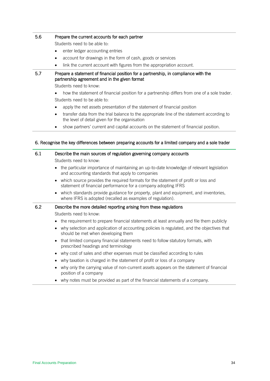#### 5.6 Prepare the current accounts for each partner

Students need to be able to:

- enter ledger accounting entries
- account for drawings in the form of cash, goods or services
- link the current account with figures from the appropriation account.

#### 5.7 Prepare a statement of financial position for a partnership, in compliance with the partnership agreement and in the given format

Students need to know:

• how the statement of financial position for a partnership differs from one of a sole trader. Students need to be able to:

- apply the net assets presentation of the statement of financial position
- transfer data from the trial balance to the appropriate line of the statement according to the level of detail given for the organisation
- show partners' current and capital accounts on the statement of financial position.

#### 6. Recognise the key differences between preparing accounts for a limited company and a sole trader

#### 6.1 Describe the main sources of regulation governing company accounts

Students need to know:

- the particular importance of maintaining an up-to-date knowledge of relevant legislation and accounting standards that apply to companies
- which source provides the required formats for the statement of profit or loss and statement of financial performance for a company adopting IFRS
- which standards provide guidance for property, plant and equipment, and inventories, where IFRS is adopted (recalled as examples of regulation).

#### 6.2 Describe the more detailed reporting arising from these regulations

Students need to know:

- the requirement to prepare financial statements at least annually and file them publicly
- why selection and application of accounting policies is regulated, and the objectives that should be met when developing them
- that limited company financial statements need to follow statutory formats, with prescribed headings and terminology
- why cost of sales and other expenses must be classified according to rules
- why taxation is charged in the statement of profit or loss of a company
- why only the carrying value of non-current assets appears on the statement of financial position of a company
- why notes must be provided as part of the financial statements of a company.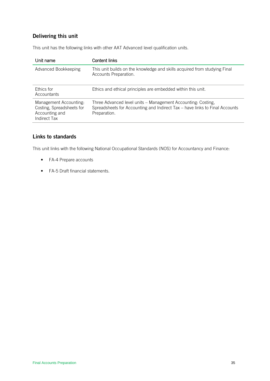#### **Delivering this unit**

This unit has the following links with other AAT Advanced level qualification units.

| Unit name                                                                             | Content links                                                                                                                                               |
|---------------------------------------------------------------------------------------|-------------------------------------------------------------------------------------------------------------------------------------------------------------|
| Advanced Bookkeeping                                                                  | This unit builds on the knowledge and skills acquired from studying Final<br>Accounts Preparation.                                                          |
| Ethics for<br>Accountants                                                             | Ethics and ethical principles are embedded within this unit.                                                                                                |
| Management Accounting:<br>Costing, Spreadsheets for<br>Accounting and<br>Indirect Tax | Three Advanced level units – Management Accounting: Costing,<br>Spreadsheets for Accounting and Indirect Tax - have links to Final Accounts<br>Preparation. |

#### **Links to standards**

This unit links with the following National Occupational Standards (NOS) for Accountancy and Finance:

- FA-4 Prepare accounts
- FA-5 Draft financial statements.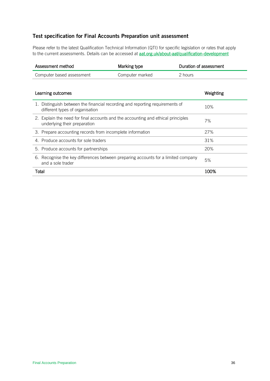#### **Test specification for Final Accounts Preparation unit assessment**

Please refer to the latest Qualification Technical Information (QTI) for specific legislation or rates that apply to the current assessments. Details can be accessed at **aat.org.uk/about-aat/qualification-development** 

| Assessment method                                                                                                | Marking type    | Duration of assessment |           |
|------------------------------------------------------------------------------------------------------------------|-----------------|------------------------|-----------|
| Computer based assessment                                                                                        | Computer marked | 2 hours                |           |
|                                                                                                                  |                 |                        |           |
| Learning outcomes                                                                                                |                 |                        | Weighting |
| 1. Distinguish between the financial recording and reporting requirements of<br>different types of organisation  |                 |                        | 10%       |
| 2. Explain the need for final accounts and the accounting and ethical principles<br>underlying their preparation |                 | 7%                     |           |
| 3. Prepare accounting records from incomplete information                                                        |                 | 27%                    |           |
| 4. Produce accounts for sole traders                                                                             |                 |                        | 31%       |
| 5. Produce accounts for partnerships                                                                             |                 |                        | 20%       |
| 6. Recognise the key differences between preparing accounts for a limited company<br>and a sole trader           |                 |                        | 5%        |
| Total                                                                                                            |                 |                        | 100%      |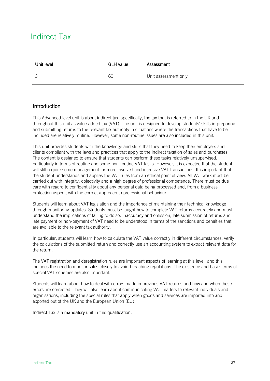### <span id="page-36-0"></span>Indirect Tax

| Unit level | <b>GLH</b> value | Assessment           |
|------------|------------------|----------------------|
|            | 60               | Unit assessment only |

#### **Introduction**

This Advanced level unit is about indirect tax: specifically, the tax that is referred to in the UK and throughout this unit as value added tax (VAT). The unit is designed to develop students' skills in preparing and submitting returns to the relevant tax authority in situations where the transactions that have to be included are relatively routine. However, some non-routine issues are also included in this unit.

This unit provides students with the knowledge and skills that they need to keep their employers and clients compliant with the laws and practices that apply to the indirect taxation of sales and purchases. The content is designed to ensure that students can perform these tasks relatively unsupervised, particularly in terms of routine and some non-routine VAT tasks. However, it is expected that the student will still require some management for more involved and intensive VAT transactions. It is important that the student understands and applies the VAT rules from an ethical point of view. All VAT work must be carried out with integrity, objectivity and a high degree of professional competence. There must be due care with regard to confidentiality about any personal data being processed and, from a business protection aspect, with the correct approach to professional behaviour.

Students will learn about VAT legislation and the importance of maintaining their technical knowledge through monitoring updates. Students must be taught how to complete VAT returns accurately and must understand the implications of failing to do so. Inaccuracy and omission, late submission of returns and late payment or non-payment of VAT need to be understood in terms of the sanctions and penalties that are available to the relevant tax authority.

In particular, students will learn how to calculate the VAT value correctly in different circumstances, verify the calculations of the submitted return and correctly use an accounting system to extract relevant data for the return.

The VAT registration and deregistration rules are important aspects of learning at this level, and this includes the need to monitor sales closely to avoid breaching regulations. The existence and basic terms of special VAT schemes are also important.

Students will learn about how to deal with errors made in previous VAT returns and how and when these errors are corrected. They will also learn about communicating VAT matters to relevant individuals and organisations, including the special rules that apply when goods and services are imported into and exported out of the UK and the European Union (EU).

Indirect Tax is a **mandatory** unit in this qualification.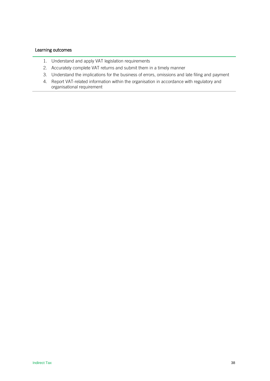#### Learning outcomes

- 1. Understand and apply VAT legislation requirements
- 2. Accurately complete VAT returns and submit them in a timely manner
- 3. Understand the implications for the business of errors, omissions and late filing and payment
- 4. Report VAT-related information within the organisation in accordance with regulatory and organisational requirement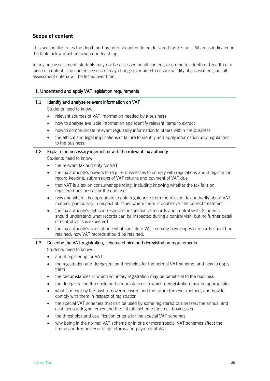#### **Scope of content**

This section illustrates the depth and breadth of content to be delivered for this unit. All areas indicated in the table below must be covered in teaching.

In any one assessment, students may not be assessed on all content, or on the full depth or breadth of a piece of content. The content assessed may change over time to ensure validity of assessment, but all assessment criteria will be tested over time.

#### 1. Understand and apply VAT legislation requirements

#### 1.1 Identify and analyse relevant information on VAT

Students need to know:

- relevant sources of VAT information needed by a business
- how to analyse available information and identify relevant items to extract
- how to communicate relevant regulatory information to others within the business
- the ethical and legal implications of failure to identify and apply information and regulations to the business.

#### 1.2 Explain the necessary interaction with the relevant tax authority

Students need to know:

- the relevant tax authority for VAT
- the tax authority's powers to require businesses to comply with regulations about registration, record keeping, submissions of VAT returns and payment of VAT due
- that VAT is a tax on consumer spending, including knowing whether the tax falls on registered businesses or the end user
- how and when it is appropriate to obtain guidance from the relevant tax authority about VAT matters, particularly in respect of issues where there is doubt over the correct treatment
- the tax authority's rights in respect of inspection of records and control visits (students should understand what records can be inspected during a control visit, but no further detail of control visits is expected)
- the tax authority's rules about: what constitute VAT records; how long VAT records should be retained; how VAT records should be retained.

#### 1.3 Describe the VAT registration, scheme choice and deregistration requirements

Students need to know:

- about registering for VAT
- the registration and deregistration thresholds for the normal VAT scheme, and how to apply them
- the circumstances in which voluntary registration may be beneficial to the business
- the deregistration threshold and circumstances in which deregistration may be appropriate
- what is meant by the past turnover measure and the future turnover method, and how to comply with them in respect of registration
- the special VAT schemes that can be used by some registered businesses: the annual and cash accounting schemes and the flat rate scheme for small businesses
- the thresholds and qualification criteria for the special VAT schemes
- why being in the normal VAT scheme or in one or more special VAT schemes affect the timing and frequency of filing returns and payment of VAT.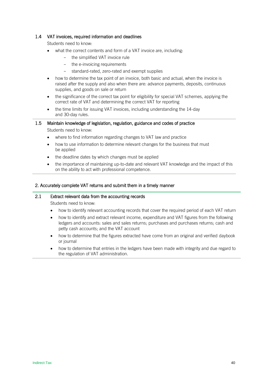#### 1.4 VAT invoices, required information and deadlines

Students need to know:

- what the correct contents and form of a VAT invoice are, including:
	- the simplified VAT invoice rule
	- the e-invoicing requirements
	- standard-rated, zero-rated and exempt supplies
- how to determine the tax point of an invoice, both basic and actual, when the invoice is raised after the supply and also when there are: advance payments, deposits, continuous supplies, and goods on sale or return
- the significance of the correct tax point for eligibility for special VAT schemes, applying the correct rate of VAT and determining the correct VAT for reporting
- the time limits for issuing VAT invoices, including understanding the 14-day and 30-day rules.

#### 1.5 Maintain knowledge of legislation, regulation, guidance and codes of practice

Students need to know:

- where to find information regarding changes to VAT law and practice
- how to use information to determine relevant changes for the business that must be applied
- the deadline dates by which changes must be applied
- the importance of maintaining up-to-date and relevant VAT knowledge and the impact of this on the ability to act with professional competence.

#### 2. Accurately complete VAT returns and submit them in a timely manner

#### 2.1 Extract relevant data from the accounting records

Students need to know:

- how to identify relevant accounting records that cover the required period of each VAT return
- how to identify and extract relevant income, expenditure and VAT figures from the following ledgers and accounts: sales and sales returns; purchases and purchases returns; cash and petty cash accounts; and the VAT account
- how to determine that the figures extracted have come from an original and verified daybook or journal
- how to determine that entries in the ledgers have been made with integrity and due regard to the regulation of VAT administration.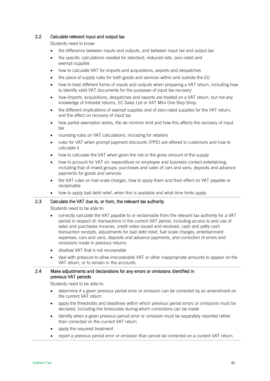#### 2.2 Calculate relevant input and output tax

Students need to know:

- the difference between inputs and outputs, and between input tax and output tax
- the specific calculations needed for standard, reduced-rate, zero-rated and exempt supplies
- how to calculate VAT for imports and acquisitions, exports and despatches
- the place of supply rules for both goods and services within and outside the EU
- how to treat different forms of inputs and outputs when preparing a VAT return, including how to identify valid VAT documents for the purposes of input tax recovery
- how imports, acquisitions, despatches and exports are treated on a VAT return, but not any knowledge of Intrastat returns, EC Sales List or VAT Mini One Stop Shop
- the different implications of exempt supplies and of zero-rated supplies for the VAT return, and the effect on recovery of input tax
- how partial exemption works, the de minimis limit and how this affects the recovery of input tax
- rounding rules on VAT calculations, including for retailers
- rules for VAT when prompt payment discounts (PPD) are offered to customers and how to calculate it
- how to calculate the VAT when given the net or the gross amount of the supply
- how to account for VAT on: expenditure on employee and business contact entertaining, including that of mixed groups; purchases and sales of cars and vans; deposits and advance payments for goods and services
- the VAT rules on fuel scale charges, how to apply them and their effect on VAT payable or reclaimable
- how to apply bad debt relief, when this is available and what time limits apply.

#### 2.3 Calculate the VAT due to, or from, the relevant tax authority

Students need to be able to:

- correctly calculate the VAT payable to or reclaimable from the relevant tax authority for a VAT period in respect of: transactions in the current VAT period, including access to and use of sales and purchases invoices, credit notes issued and received, cash and petty cash transaction receipts, adjustments for bad debt relief, fuel scale charges, entertainment expenses, cars and vans, deposits and advance payments, and correction of errors and omissions made in previous returns
- disallow VAT that is not recoverable
- deal with pressure to allow irrecoverable VAT or other inappropriate amounts to appear on the VAT return, or to remain in the accounts.

#### 2.4 Make adjustments and declarations for any errors or omissions identified in previous VAT periods

Students need to be able to:

- determine if a given previous period error or omission can be corrected by an amendment on the current VAT return
- apply the thresholds and deadlines within which previous period errors or omissions must be declared, including the timescales during which corrections can be made
- identify when a given previous period error or omission must be separately reported rather than corrected on the current VAT return
- apply the required treatment
- report a previous period error or omission that cannot be corrected on a current VAT return.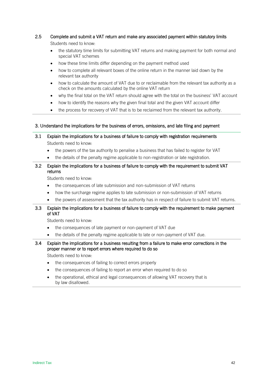#### 2.5 Complete and submit a VAT return and make any associated payment within statutory limits

Students need to know:

- the statutory time limits for submitting VAT returns and making payment for both normal and special VAT schemes
- how these time limits differ depending on the payment method used
- how to complete all relevant boxes of the online return in the manner laid down by the relevant tax authority
- how to calculate the amount of VAT due to or reclaimable from the relevant tax authority as a check on the amounts calculated by the online VAT return
- why the final total on the VAT return should agree with the total on the business' VAT account
- how to identify the reasons why the given final total and the given VAT account differ
- the process for recovery of VAT that is to be reclaimed from the relevant tax authority.

#### 3. Understand the implications for the business of errors, omissions, and late filing and payment

3.1 Explain the implications for a business of failure to comply with registration requirements Students need to know:

- the powers of the tax authority to penalise a business that has failed to register for VAT
- the details of the penalty regime applicable to non-registration or late registration.

#### 3.2 Explain the implications for a business of failure to comply with the requirement to submit VAT returns

Students need to know:

- the consequences of late submission and non-submission of VAT returns
- how the surcharge regime applies to late submission or non-submission of VAT returns
- the powers of assessment that the tax authority has in respect of failure to submit VAT returns.

#### 3.3 Explain the implications for a business of failure to comply with the requirement to make payment of VAT

Students need to know:

- the consequences of late payment or non-payment of VAT due
- the details of the penalty regime applicable to late or non-payment of VAT due.
- 3.4 Explain the implications for a business resulting from a failure to make error corrections in the proper manner or to report errors where required to do so

Students need to know:

- the consequences of failing to correct errors properly
- the consequences of failing to report an error when required to do so
- the operational, ethical and legal consequences of allowing VAT recovery that is by law disallowed.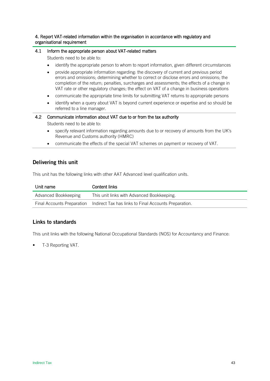#### 4. Report VAT-related information within the organisation in accordance with regulatory and organisational requirement

#### 4.1 Inform the appropriate person about VAT-related matters

Students need to be able to:

- identify the appropriate person to whom to report information, given different circumstances
- provide appropriate information regarding: the discovery of current and previous period errors and omissions; determining whether to correct or disclose errors and omissions; the completion of the return; penalties, surcharges and assessments; the effects of a change in VAT rate or other regulatory changes; the effect on VAT of a change in business operations
- communicate the appropriate time limits for submitting VAT returns to appropriate persons
- identify when a query about VAT is beyond current experience or expertise and so should be referred to a line manager.

#### 4.2 Communicate information about VAT due to or from the tax authority

Students need to be able to:

- specify relevant information regarding amounts due to or recovery of amounts from the UK's Revenue and Customs authority (HMRC)
- communicate the effects of the special VAT schemes on payment or recovery of VAT.

#### **Delivering this unit**

This unit has the following links with other AAT Advanced level qualification units.

| Unit name                  | Content links                                         |
|----------------------------|-------------------------------------------------------|
| Advanced Bookkeeping       | This unit links with Advanced Bookkeeping.            |
| Final Accounts Preparation | Indirect Tax has links to Final Accounts Preparation. |

#### **Links to standards**

This unit links with the following National Occupational Standards (NOS) for Accountancy and Finance:

• T-3 Reporting VAT.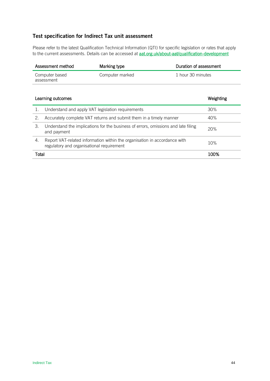#### **Test specification for Indirect Tax unit assessment**

Please refer to the latest Qualification Technical Information (QTI) for specific legislation or rates that apply to the current assessments. Details can be accessed at **aat.org.uk/about-aat/qualification-development** 

| Assessment method            | Marking type    | Duration of assessment |  |
|------------------------------|-----------------|------------------------|--|
| Computer based<br>assessment | Computer marked | 1 hour 30 minutes      |  |
| Learning outcomes            |                 | Weighting              |  |

| Total |                                                                                                                        | 100% |
|-------|------------------------------------------------------------------------------------------------------------------------|------|
| 4.    | Report VAT-related information within the organisation in accordance with<br>regulatory and organisational requirement | 10%  |
| З.    | Understand the implications for the business of errors, omissions and late filing<br>and payment                       | 20%  |
| 2.    | Accurately complete VAT returns and submit them in a timely manner                                                     | 40%  |
|       | Understand and apply VAT legislation requirements                                                                      | 30%  |
|       |                                                                                                                        |      |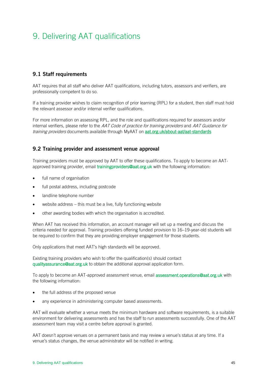### <span id="page-44-0"></span>9. Delivering AAT qualifications

#### **9.1 Staff requirements**

AAT requires that all staff who deliver AAT qualifications, including tutors, assessors and verifiers, are professionally competent to do so.

If a training provider wishes to claim recognition of prior learning (RPL) for a student, then staff must hold the relevant assessor and/or internal verifier qualifications.

For more information on assessing RPL, and the role and qualifications required for assessors and/or internal verifiers, please refer to the AAT Code of practice for training providers and AAT Guidance for training providers documents available through MyAAT on [aat.org.uk/about-aat/aat-standards](http://www.aat.org.uk/about-aat/aat-standards)

#### **9.2 Training provider and assessment venue approval**

Training providers must be approved by AAT to offer these qualifications. To apply to become an AATapproved training provider, email [trainingproviders@aat.org.uk](mailto:trainingproviders@aat.org.uk) with the following information:

- full name of organisation
- full postal address, including postcode
- landline telephone number
- website address this must be a live, fully functioning website
- other awarding bodies with which the organisation is accredited.

When AAT has received this information, an account manager will set up a meeting and discuss the criteria needed for approval. Training providers offering funded provision to 16–19-year-old students will be required to confirm that they are providing employer engagement for those students.

Only applications that meet AAT's high standards will be approved.

Existing training providers who wish to offer the qualification(s) should contact [qualityassurance@aat.org.uk](mailto:qualityassurance@aat.org.uk) to obtain the additional approval application form.

To apply to become an AAT-approved assessment venue, email [assessment.operations@aat.org.uk](mailto:assessment.operations@aat.org.uk) with the following information:

- the full address of the proposed venue
- any experience in administering computer based assessments.

AAT will evaluate whether a venue meets the minimum hardware and software requirements, is a suitable environment for delivering assessments and has the staff to run assessments successfully. One of the AAT assessment team may visit a centre before approval is granted.

AAT doesn't approve venues on a permanent basis and may review a venue's status at any time. If a venue's status changes, the venue administrator will be notified in writing.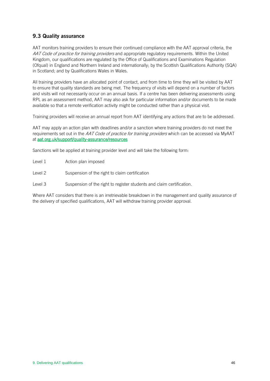#### **9.3 Quality assurance**

AAT monitors training providers to ensure their continued compliance with the AAT approval criteria, the AAT Code of practice for training providers and appropriate regulatory requirements. Within the United Kingdom, our qualifications are regulated by the Office of Qualifications and Examinations Regulation (Ofqual) in England and Northern Ireland and internationally; by the Scottish Qualifications Authority (SQA) in Scotland; and by Qualifications Wales in Wales.

All training providers have an allocated point of contact, and from time to time they will be visited by AAT to ensure that quality standards are being met. The frequency of visits will depend on a number of factors and visits will not necessarily occur on an annual basis. If a centre has been delivering assessments using RPL as an assessment method, AAT may also ask for particular information and/or documents to be made available so that a remote verification activity might be conducted rather than a physical visit.

Training providers will receive an annual report from AAT identifying any actions that are to be addressed.

AAT may apply an action plan with deadlines and/or a sanction where training providers do not meet the requirements set out in the AAT Code of practice for training providers which can be accessed via MyAAT at [aat.org.uk/support/quality-assurance/resources](https://www.aat.org.uk/support/quality-assurance/resources)

Sanctions will be applied at training provider level and will take the following form:

- Level 1 **Action plan imposed**
- Level 2 Suspension of the right to claim certification

Level 3 Suspension of the right to register students and claim certification.

Where AAT considers that there is an irretrievable breakdown in the management and quality assurance of the delivery of specified qualifications, AAT will withdraw training provider approval.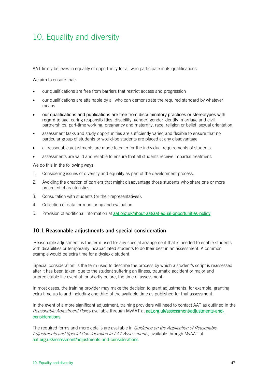### <span id="page-46-0"></span>10. Equality and diversity

AAT firmly believes in equality of opportunity for all who participate in its qualifications.

We aim to ensure that:

- our qualifications are free from barriers that restrict access and progression
- our qualifications are attainable by all who can demonstrate the required standard by whatever means
- our qualifications and publications are free from discriminatory practices or stereotypes with regard to age, caring responsibilities, disability, gender, gender identity, marriage and civil partnerships, part-time working, pregnancy and maternity, race, religion or belief, sexual orientation.
- assessment tasks and study opportunities are sufficiently varied and flexible to ensure that no particular group of students or would-be students are placed at any disadvantage
- all reasonable adjustments are made to cater for the individual requirements of students
- assessments are valid and reliable to ensure that all students receive impartial treatment.

We do this in the following ways.

- 1. Considering issues of diversity and equality as part of the development process.
- 2. Avoiding the creation of barriers that might disadvantage those students who share one or more protected characteristics.
- 3. Consultation with students (or their representatives).
- 4. Collection of data for monitoring and evaluation.
- 5. Provision of additional information at **[aat.org.uk/about-aat/aat-equal-opportunities-policy](http://www.aat.org.uk/about-aat/aat-equal-opportunities-policy)**

#### **10.1 Reasonable adjustments and special consideration**

'Reasonable adjustment' is the term used for any special arrangement that is needed to enable students with disabilities or temporarily incapacitated students to do their best in an assessment. A common example would be extra time for a dyslexic student.

'Special consideration' is the term used to describe the process by which a student's script is reassessed after it has been taken, due to the student suffering an illness, traumatic accident or major and unpredictable life event at, or shortly before, the time of assessment.

In most cases, the training provider may make the decision to grant adjustments: for example, granting extra time up to and including one third of the available time as published for that assessment.

In the event of a more significant adjustment, training providers will need to contact AAT as outlined in the Reasonable Adjustment Policy available through MyAAT at [aat.org.uk/assessment/adjustments-and](http://www.aat.org.uk/assessment/adjustments-and-considerations)[considerations](http://www.aat.org.uk/assessment/adjustments-and-considerations)

The required forms and more details are available in *Guidance on the Application of Reasonable* Adjustments and Special Consideration in AAT Assessments, available through MyAAT at [aat.org.uk/assessment/adjustments-and-considerations](http://www.aat.org.uk/assessment/adjustments-and-considerations)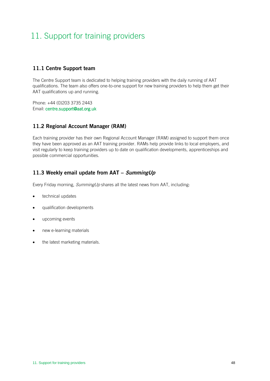### <span id="page-47-0"></span>11. Support for training providers

#### **11.1 Centre Support team**

The Centre Support team is dedicated to helping training providers with the daily running of AAT qualifications. The team also offers one-to-one support for new training providers to help them get their AAT qualifications up and running.

Phone: +44 (0)203 3735 2443 Email: [centre.support@aat.org.uk](mailto:centre.support@aat.org.uk)

#### **11.2 Regional Account Manager (RAM)**

Each training provider has their own Regional Account Manager (RAM) assigned to support them once they have been approved as an AAT training provider. RAMs help provide links to local employers, and visit regularly to keep training providers up to date on qualification developments, apprenticeships and possible commercial opportunities.

#### **11.3 Weekly email update from AAT – SummingUp**

Every Friday morning, SummingUp shares all the latest news from AAT, including:

- technical updates
- qualification developments
- upcoming events
- new e-learning materials
- the latest marketing materials.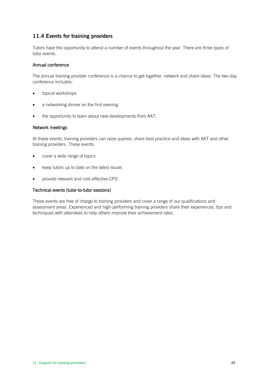#### **11.4 Events for training providers**

Tutors have the opportunity to attend a number of events throughout the year. There are three types of tutor events.

#### Annual conference

The annual training provider conference is a chance to get together, network and share ideas. The two-day conference includes:

- topical workshops
- a networking dinner on the first evening
- the opportunity to learn about new developments from AAT.

#### Network meetings

At these events, training providers can raise queries, share best practice and ideas with AAT and other training providers. These events:

- cover a wide range of topics
- keep tutors up to date on the latest issues
- provide relevant and cost-effective CPD.

#### Technical events (tutor-to-tutor sessions)

These events are free of charge to training providers and cover a range of our qualifications and assessment areas. Experienced and high-performing training providers share their experiences, tips and techniques with attendees to help others improve their achievement rates.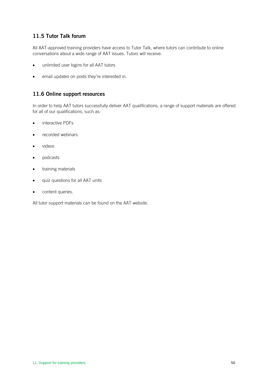#### **11.5 Tutor Talk forum**

All AAT-approved training providers have access to Tutor Talk, where tutors can contribute to online conversations about a wide range of AAT issues. Tutors will receive:

- unlimited user logins for all AAT tutors
- email updates on posts they're interested in.

#### **11.6 Online support resources**

In order to help AAT tutors successfully deliver AAT qualifications, a range of support materials are offered for all of our qualifications, such as:

- interactive PDFs
- recorded webinars
- videos
- podcasts
- training materials
- quiz questions for all AAT units
- content queries.

All tutor support materials can be found on the AAT website.